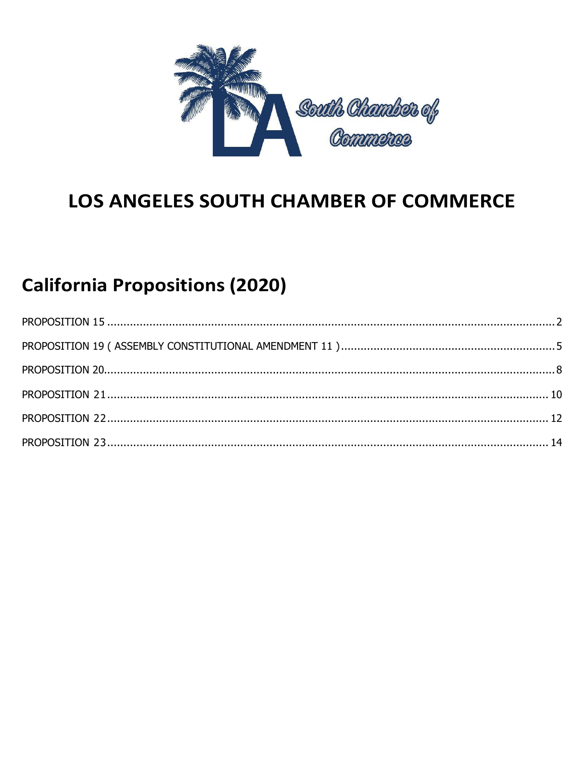

# LOS ANGELES SOUTH CHAMBER OF COMMERCE

# **California Propositions (2020)**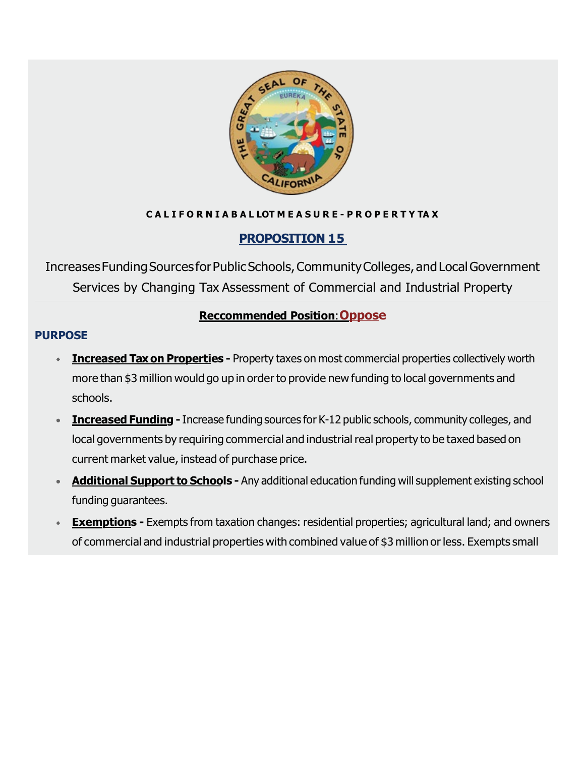

### **C A L I F O R N I A B A L LOT M E A S U R E - P R O P E R T Y TA X**

# <span id="page-1-0"></span>**PROPOSITION 15**

IncreasesFundingSources forPublicSchools,CommunityColleges,andLocalGovernment Services by Changing Tax Assessment of Commercial and Industrial Property

### **Reccommended Position**:**Oppose**

### **PURPOSE**

- **Increased Taxon Properties -** Property taxes on most commercial properties collectively worth more than \$3 million would go up in order to provide new funding to local governments and schools.
- **Increased Funding -** Increase funding sources for K-12 public schools, community colleges, and local governments by requiring commercial and industrial real property to be taxed based on current market value, instead of purchase price.
- **Additional Support to Schools -** Any additional education funding will supplement existing school funding guarantees.
- **Exemptions** Exempts from taxation changes: residential properties; agricultural land; and owners of commercial and industrial properties with combined value of \$3 million or less. Exempts small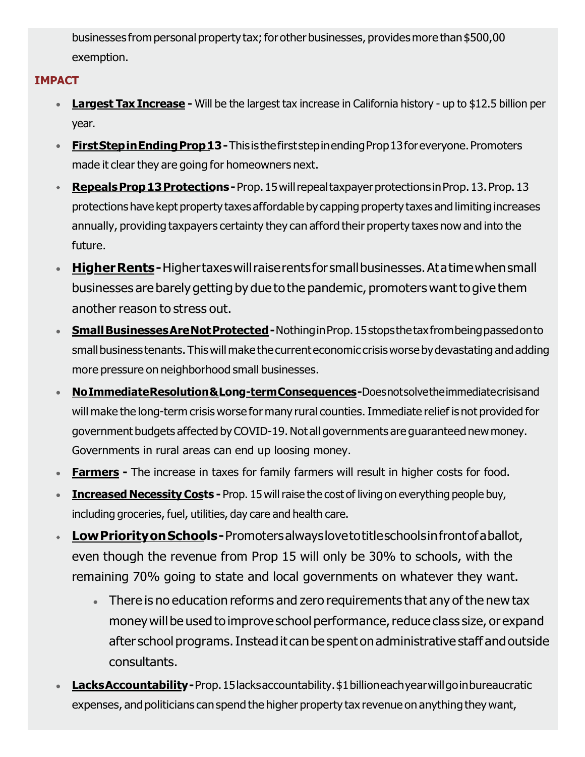businesses from personal property tax; for other businesses, provides more than \$500,00 exemption.

### **IMPACT**

- **Largest Tax Increase -** Will be the largest tax increase in California history up to \$12.5 billion per year.
- **First Step in Ending Prop 13 -** This is the first step in ending Prop 13 for everyone. Promoters made it clear they are going for homeowners next.
- **RepealsProp13Protections-**Prop.15willrepealtaxpayerprotections inProp.13.Prop.13 protections have kept property taxes affordable by capping property taxes and limiting increases annually, providing taxpayers certainty they can afford their property taxes now and into the future.
- **Higher Rents-**Highertaxes will raise rents for small businesses. At a time when small businesses are barely getting by due to the pandemic, promoters want to give them another reason to stress out.
- **Small Businesses Are Not Protected** Nothing in Prop. 15 stops the tax from being passed on to small business tenants. This will make the current economic crisis worse by devastating and adding more pressure on neighborhood small businesses.
- **NoImmediateResolution&Long-termConsequences-**Doesnotsolvetheimmediatecrisisand will make the long-term crisis worse for many rural counties. Immediate relief is not provided for government budgets affected byCOVID-19.Not all governments are guaranteed new money. Governments in rural areas can end up loosing money.
- **Farmers -** The increase in taxes for family farmers will result in higher costs for food.
- **Increased NecessityCosts -** Prop. 15 will raise the cost of living on everything people buy, including groceries, fuel, utilities, day care and health care.
- **LowPriorityonSchools-**Promotersalwayslovetotitleschoolsinfrontofaballot, even though the revenue from Prop 15 will only be 30% to schools, with the remaining 70% going to state and local governments on whatever they want.
	- There is no education reforms and zero requirements that any of the new tax money will be used to improve school performance, reduce class size, or expand after school programs.Insteadit canbespent onadministrative staff andoutside consultants.
- **LacksAccountability-**Prop.15lacksaccountability.\$1billioneachyear will go in bureaucratic expenses, and politicians canspend the higher property tax revenue on anything they want,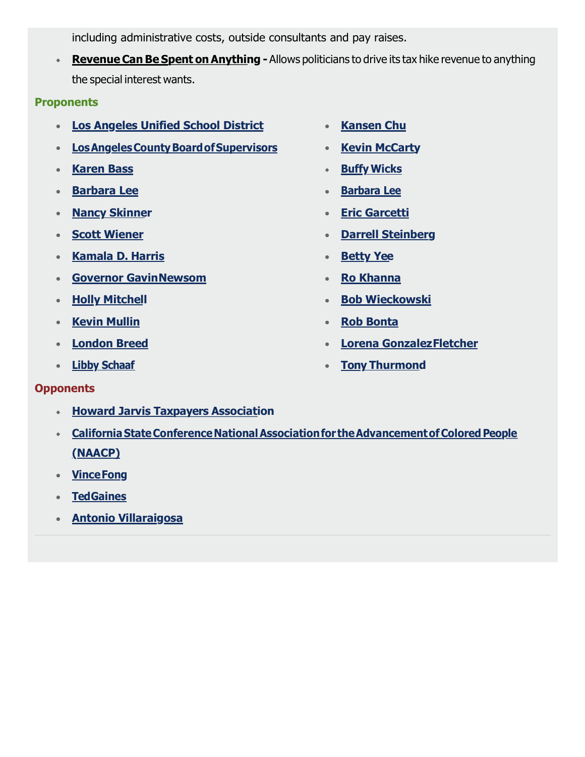including administrative costs, outside consultants and pay raises.

**Revenue Can Be Spent on Anything** - Allows politicians to drive its tax hike revenue to anything the special interest wants.

#### **Proponents**

- **[Los Angeles Unified School District](http://google.com/)**
- **[LosAngelesCountyBoardofSupervisors](http://google.com/)**
- **[Karen Bass](https://ballotpedia.org/Karen_Bass)**
- **[Barbara Lee](https://ballotpedia.org/Barbara_Lee_(California))**
- **[Nancy Skinner](https://ballotpedia.org/Nancy_Skinner_(California))**
- **[Scott Wiener](https://ballotpedia.org/Scott_Wiener)**
- **[Kamala D. Harris](https://ballotpedia.org/Kamala_Harris)**
- **[Governor GavinNewsom](https://www.gov.ca.gov/)**
- **•** [Holly Mitchell](https://sd30.senate.ca.gov/)
- **[Kevin Mullin](https://a22.asmdc.org/)**
- **[London Breed](https://en.wikipedia.org/wiki/London_Breed)**
- **[Libby Schaaf](https://www.oaklandca.gov/officials/libby-schaaf)**
- **[Kansen Chu](https://ballotpedia.org/Kansen_Chu)**
- **[Kevin McCarty](https://ballotpedia.org/Kevin_McCarty_(California))**
- **Buffy [Wicks](https://ballotpedia.org/Buffy_Wicks)**
- **[Barbara](https://ballotpedia.org/Barbara_Lee_(California)) Lee**
- **[Eric Garcetti](https://ballotpedia.org/Eric_Garcetti)**
- **[Darrell Steinberg](https://ballotpedia.org/Darrell_Steinberg)**
- **[Betty Yee](https://ballotpedia.org/Betty_Yee)**
- **[Ro Khanna](https://ballotpedia.org/Betty_Yee)**
- **[Bob Wieckowski](https://sd10.senate.ca.gov/)**
- **[Rob Bonta](https://a18.asmdc.org/)**
- **[Lorena GonzalezFletcher](https://a80.asmdc.org/)**
- **[Tony Thurmond](https://www.tonythurmond.com/)**

### **Opponents**

- **[Howard Jarvis Taxpayers Association](https://www.hjta.org/)**
- **[CaliforniaStateConferenceNationalAssociationfor](http://www.ca-naacp.org/) theAdvancementofColoredPe[ople](http://www.ca-naacp.org/)  [\(NAACP\)](http://www.ca-naacp.org/)**
- **[VinceFong](http://vincefong.com/)**
- **[TedGaines](http://www.tedgaines.com/)**
- **[Antonio Villaraigosa](https://en.wikipedia.org/wiki/Antonio_Villaraigosa)**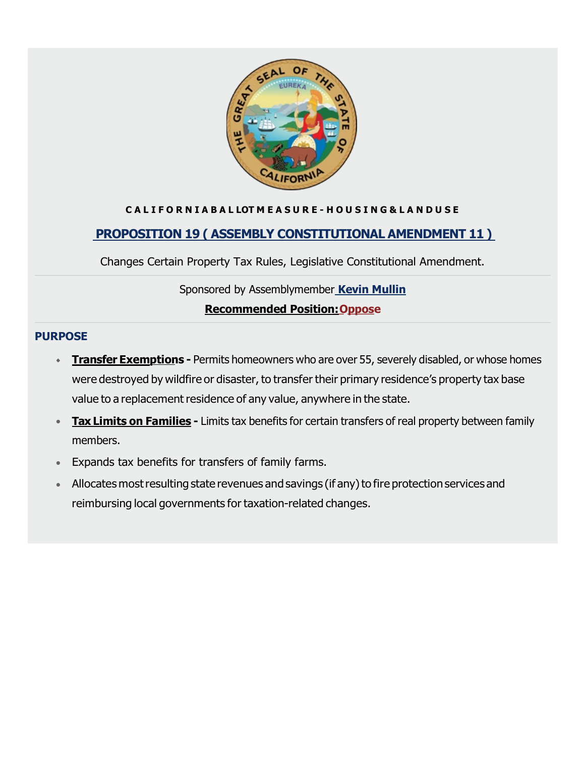

#### **C A L I F O R N I A B A L LOT M E A S U R E - H O U S I N G & L A N D U S E**

### <span id="page-4-0"></span>**[PROPOSITION 19 \( ASSEMBLY CONSTITUTIONAL AMENDMENT 11 \)](https://voterguide.sos.ca.gov/propositions/19/)**

Changes Certain Property Tax Rules, Legislative Constitutional Amendment.

#### Sponsored by Assemblymember **[Kevin Mullin](https://a22.asmdc.org/)**

#### **Recommended Position:Oppose**

#### **PURPOSE**

- **Transfer Exemptions** Permits homeowners who are over 55, severely disabled, or whose homes were destroyed by wildfire or disaster, to transfer their primary residence's property tax base value to a replacement residence of any value, anywhere in the state.
- **Tax Limits on Families -** Limits tax benefits for certain transfers of real property between family members.
- Expands tax benefits for transfers of family farms.
- Allocates most resulting state revenues and savings (if any) to fire protection services and reimbursing local governments for taxation-related changes.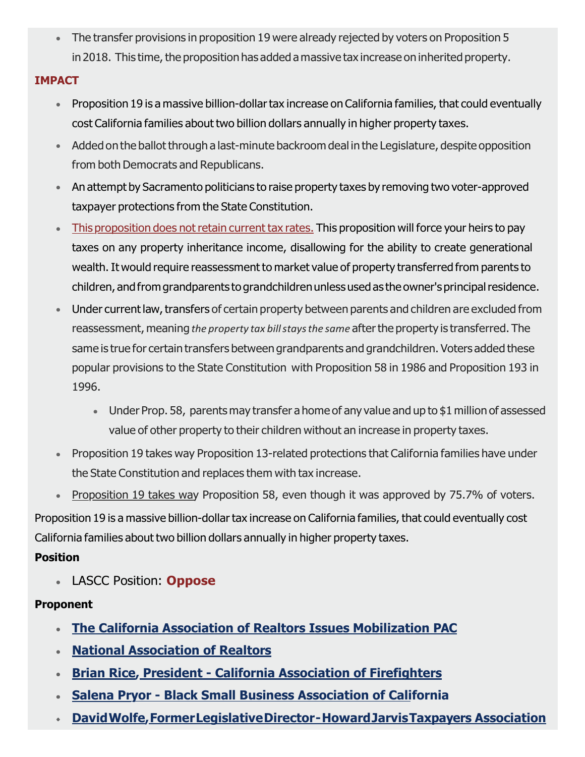The transfer provisions in proposition 19 were already rejected by voters on Proposition 5 in 2018. This time, the proposition has added a massive tax increase on inherited property.

### **IMPACT**

- Proposition 19 is a massive billion-dollartax increase on California families, that could eventually cost California families about two billion dollars annually in higher property taxes.
- Added on the ballot through a last-minute backroom deal in the Legislature, despite opposition from both Democrats and Republicans.
- An attempt by Sacramento politicians to raise property taxes by removing two voter-approved taxpayer protections from the State Constitution.
- This proposition does not retain current tax rates. This proposition will force your heirs to pay taxes on any property inheritance income, disallowing for the ability to create generational wealth. It would require reassessment to market value of property transferred from parents to children, andfromgrandparents tograndchildrenunlessusedas the owner'sprincipalresidence.
- Under current law, transfers of certain property between parents and children are excluded from reassessment, meaning *the property tax billstaysthe same* afterthe property is transferred. The same is true for certain transfers between grandparents and grandchildren. Voters added these popular provisions to the State Constitution with Proposition 58 in 1986 and Proposition 193 in 1996.
	- Under Prop. 58, parents may transfer ahome of any value and up to \$1 million of assessed value of other property to their children without an increase in property taxes.
- Proposition 19 takes way Proposition 13-related protections that California families have under the State Constitution and replaces them with tax increase.
- Proposition 19 takes way Proposition 58, even though it was approved by 75.7% of voters.

Proposition 19 is a massive billion-dollar tax increase on California families, that could eventually cost California families about two billion dollars annually in higher property taxes.

### **Position**

LASCC Position: **Oppose**

### **Proponent**

- **[The California Association of Realtors Issues Mobilization PAC](https://www.car.org/)**
- **[National Association of Realtors](https://www.nar.realtor/)**
- **Brian Rice, [President -](http://www.cpf.org/go/cpf/) [California Association of Firefighters](http://www.cpf.org/go/cpf/)**
- **[Salena Pryor -](http://www.cpf.org/go/cpf/) [Black Small Business Association of California](http://www.cpf.org/go/cpf/)**
- **[DavidWolfe,FormerLegislativeDirector-HowardJarvisTaxpayers Association](https://www.wellversedconsulting.com/)**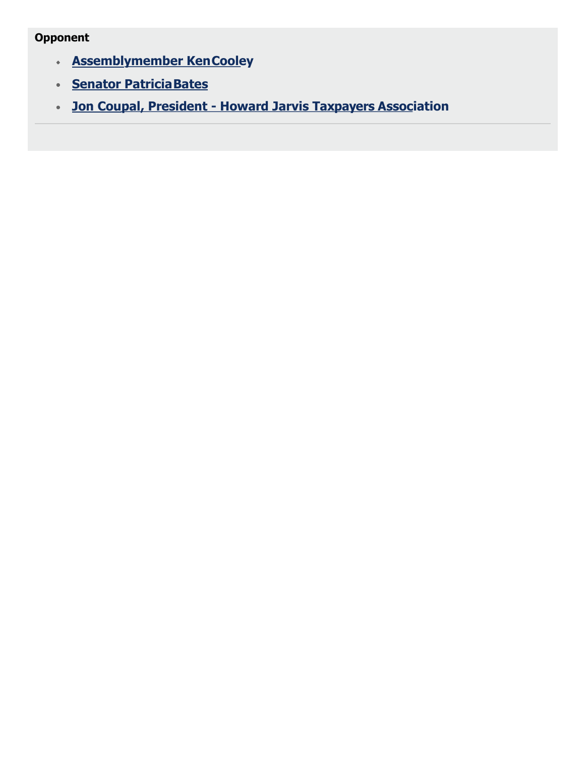## **Opponent**

- **[Assemblymember KenCooley](https://a08.asmdc.org/)**
- **[Senator PatriciaBates](https://bates.cssrc.us/)**
- **Jon Coupal, President - [Howard Jarvis Taxpayers Association](https://www.hjta.org/bio/jon-coupal/)**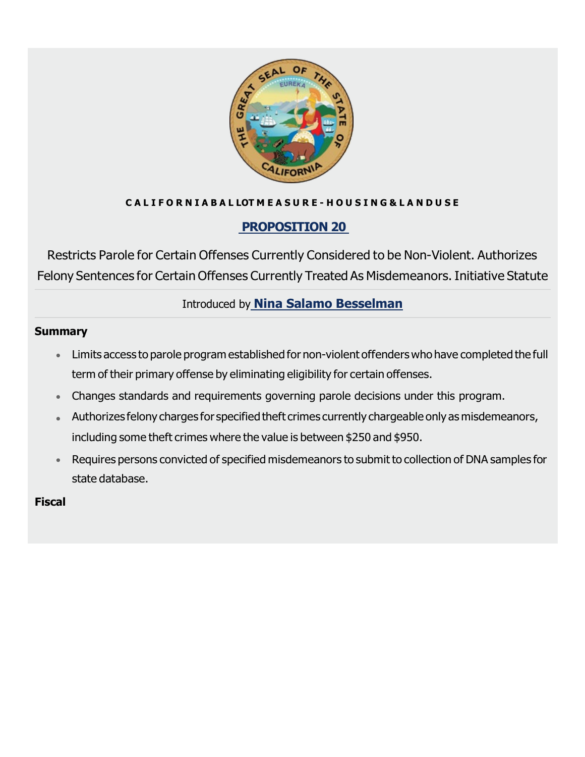

### **C A L I F O R N I A B A L LOT M E A S U R E - H O U S I N G & L A N D U S E**

# <span id="page-7-0"></span>**[PROPOSITION 20](https://voterguide.sos.ca.gov/propositions/20/)**

Restricts Parole for Certain Offenses Currently Considered to be Non-Violent. Authorizes Felony Sentences for Certain Offenses Currently Treated As Misdemeanors. Initiative Statute

# Introduced by **[Nina Salamo Besselman](https://keepcalsafe.org/)**

#### **Summary**

- Limits access to parole program established for non-violent offenders who have completed the full term of their primary offense by eliminating eligibility for certain offenses.
- Changes standards and requirements governing parole decisions under this program.
- Authorizes felony charges for specified theft crimes currently chargeable only as misdemeanors, including some theft crimes where the value is between \$250 and \$950.
- Requires persons convicted of specified misdemeanors to submit to collection of DNA samples for state database.

**Fiscal**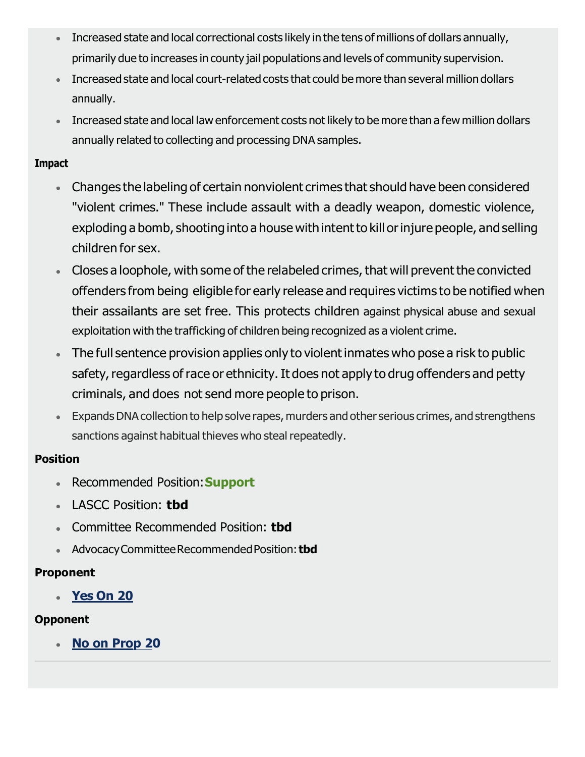- Increased state and local correctional costs likely in the tens of millions of dollars annually, primarily due to increases in county jail populations and levels of community supervision.
- Increased state and local court-related costs that could be more than several million dollars annually.
- **Increased state and local law enforcement costs not likely to be more than a few million dollars** annually related to collecting and processing DNA samples.

- Changes the labeling of certain nonviolent crimes that should have been considered "violent crimes." These include assault with a deadly weapon, domestic violence, exploding a bomb, shooting into a house with intent to kill or injure people, and selling children for sex.
- Closes a loophole, with some of the relabeled crimes, that will prevent the convicted offenders from being eligible for early release and requires victims to be notified when their assailants are set free. This protects children against physical abuse and sexual exploitation with the trafficking of children being recognized as a violent crime.
- The full sentence provision applies only to violent inmates who pose a risk to public safety, regardless of race or ethnicity. It does not apply to drug offenders and petty criminals, and does not send more people to prison.
- ExpandsDNAcollectionto help solve rapes, murders and other serious crimes, and strengthens sanctions against habitual thieves who steal repeatedly.

### **Position**

- Recommended Position:**Support**
- LASCC Position: **tbd**
- Committee Recommended Position: **tbd**
- AdvocacyCommitteeRecommendedPosition: **tbd**

# **Proponent**

**[Yes On 20](https://keepcalsafe.org/)**

# **Opponent**

**No on Prop 20**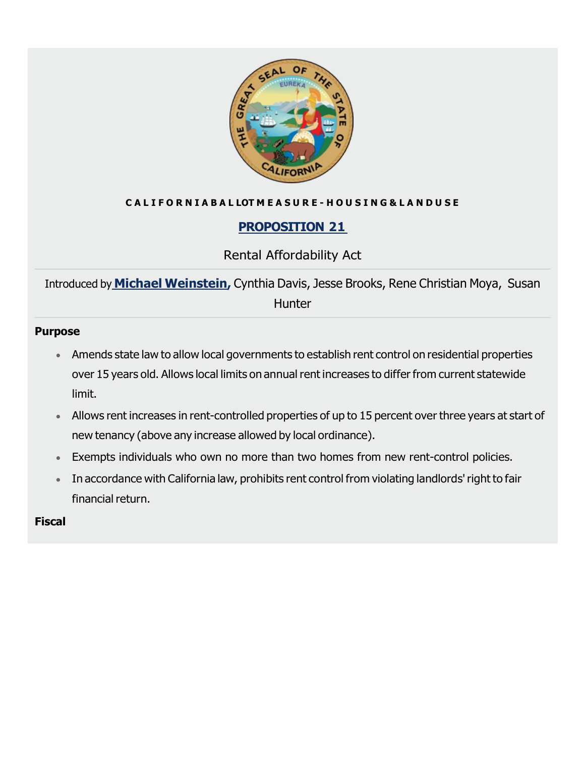

### **C A L I F O R N I A B A L LOT M E A S U R E - H O U S I N G & L A N D U S E**

# <span id="page-9-0"></span>**[PROPOSITION](https://voterguide.sos.ca.gov/propositions/21/index.htm) 2[1](https://voterguide.sos.ca.gov/propositions/21/index.htm)**

### Rental Affordability Act

Introduced by **Michael [Weinstein,](https://ballotpedia.org/Michael_Weinstein_(AHF))** Cynthia Davis, Jesse Brooks, Rene Christian Moya, Susan **Hunter** 

#### **Purpose**

- Amends state law to allow local governments to establish rent control on residential properties over 15 years old. Allows local limits on annual rent increases to differ from current statewide limit.
- Allows rent increases in rent-controlled properties of up to 15 percent over three years at start of new tenancy (above any increase allowed by local ordinance).
- Exempts individuals who own no more than two homes from new rent-control policies.
- In accordance with California law, prohibits rent control from violating landlords'right to fair financial return.

### **Fiscal**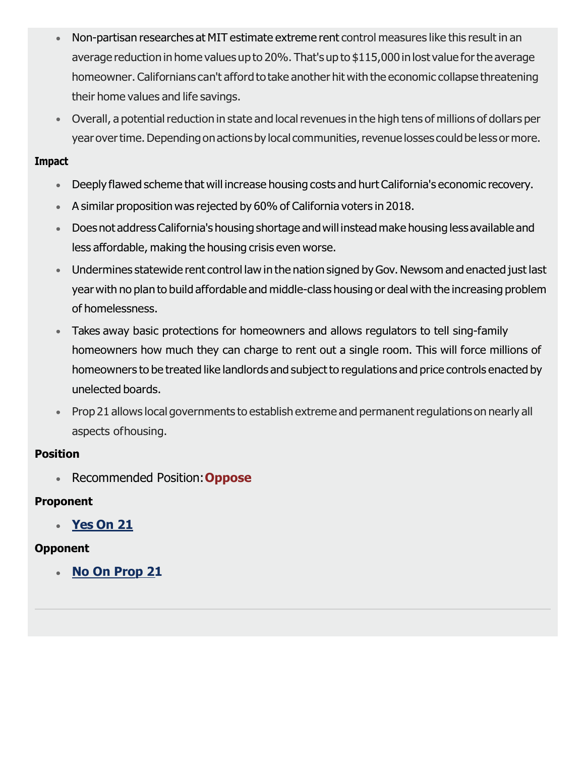- Non-partisan researches at MIT estimate extreme rent control measures like this result in an average reductionin home values up to 20%. That's up to \$115,000 inlost value forthe average homeowner. Californians can't afford to take another hit with the economic collapse threatening their home values and life savings.
- Overall, a potential reduction in state and local revenues in the high tens of millions of dollars per year over time. Depending on actions by local communities, revenue losses could be less or more.

- Deeply flawed scheme that will increase housing costs and hurt California's economic recovery.  $\bullet$  .
- A similar proposition was rejected by 60% of California voters in 2018.
- Doesnot addressCalifornia's housing shortage andwill instead make housing less available and less affordable, making the housing crisis even worse.
- Undermines statewide rent control law in the nation signed byGov.Newsom and enacted just last year with no plan to build affordable and middle-class housing or deal with the increasing problem of homelessness.
- Takes away basic protections for homeowners and allows regulators to tell sing-family homeowners how much they can charge to rent out a single room. This will force millions of homeowners to be treated like landlords and subject to regulations and price controls enacted by unelected boards.
- Prop 21 allows local governments to establish extreme and permanent regulations on nearly all aspects ofhousing.

### **Position**

Recommended Position:**Oppose**

### **Proponent**

**[Yes On 21](https://yeson21ca.org/)**

### **Opponent**

**[No On Prop 21](https://noonprop21.vote/)**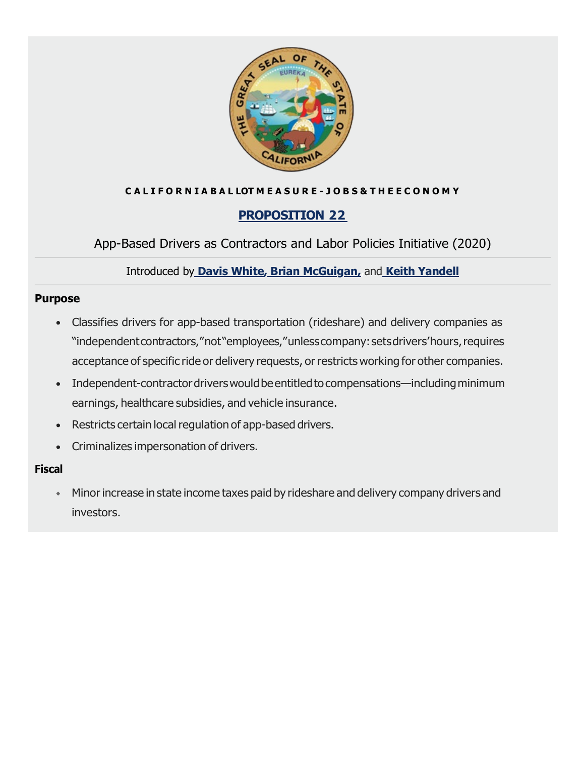

### **C A L I F O R N I A B A L LOT M E A S U R E - J O B S & T H E E C O N O M Y**

### <span id="page-11-0"></span>**[PROPOSITION](https://voterguide.sos.ca.gov/propositions/22/) 2[2](https://voterguide.sos.ca.gov/propositions/22/)**

App-Based Drivers as Contractors and Labor Policies Initiative (2020)

Introduced by **[Davis White](https://www.linkedin.com/in/davis-white-8194635/)[,](http://google.com/) [Brian McGuigan,](https://www.linkedin.com/in/bmcguigan/)[,](http://google.com/)**and **[Keith Yandell](https://www.linkedin.com/in/keith-yandell-2a947432/)**

#### **Purpose**

- Classifies drivers for app-based transportation (rideshare) and delivery companies as "independentcontractors,"not"employees,"unlesscompany:setsdrivers'hours,requires acceptance of specific ride or delivery requests, or restricts working for other companies.
- Independent-contractor drivers would be entitled to compensations—including minimum earnings, healthcare subsidies, and vehicle insurance.
- Restricts certain local regulation of app-based drivers.
- Criminalizes impersonation of drivers.

#### **Fiscal**

Minor increase in state income taxes paid by rideshare and delivery company drivers and investors.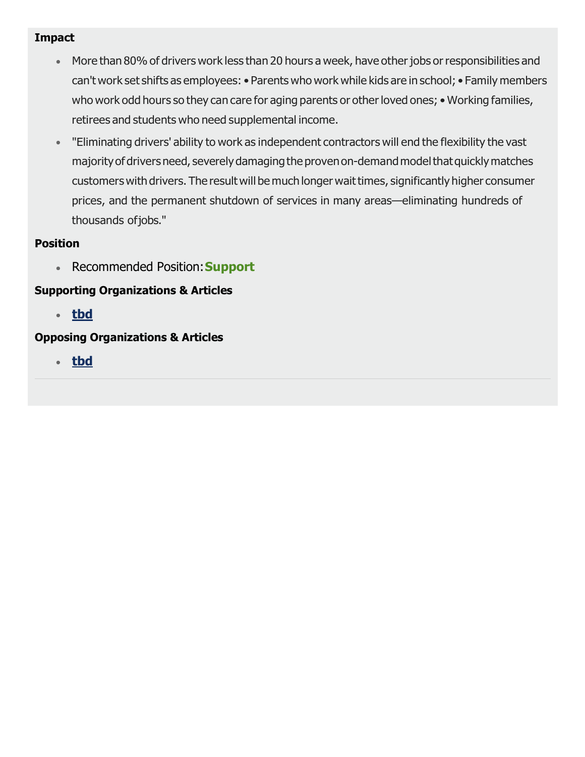- More than 80% of drivers work less than 20 hours a week, have other jobs or responsibilities and can't work set shifts as employees: • Parents who work while kids are in school; • Family members who work odd hours so they can care for aging parents or other loved ones; • Working families, retirees and students who need supplemental income.
- "Eliminating drivers' ability to work as independent contractors will end the flexibility the vast majority of drivers need, severely damaging the proven on-demand model that quickly matches customers with drivers. The result will be much longer wait times, significantly higher consumer prices, and the permanent shutdown of services in many areas—eliminating hundreds of thousands ofjobs."

### **Position**

Recommended Position:**Support**

### **Supporting Organizations & Articles**

**[tbd](http://google.com/)**

### **Opposing Organizations & Articles**

**[tbd](http://google.com/)**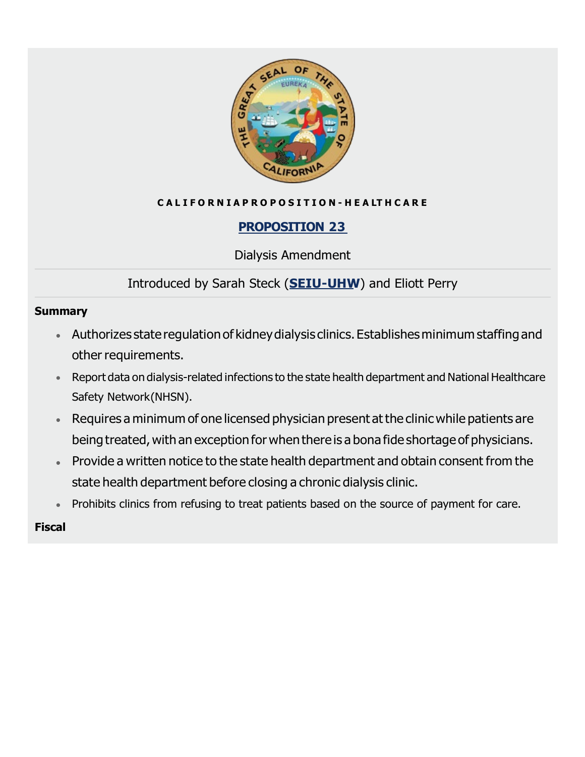

### **C A L I F O R N I A P R O P O S I T I O N - H E A LT H C A R E**

## <span id="page-13-0"></span>**[PROPOSITION](https://voterguide.sos.ca.gov/propositions/23/) 2[3](https://voterguide.sos.ca.gov/propositions/23/)**

Dialysis Amendment

# Introduced by Sarah Steck (**[SEIU-UHW](https://www.seiu-uhw.org/about-seiu-uhw/)**) and Eliott Perry

#### **Summary**

- Authorizes stateregulation of kidneydialysis clinics.Establishesminimum staffingand other requirements.
- Report data on dialysis-related infections to the state health department and National Healthcare Safety Network(NHSN).
- Requires a minimum of one licensed physician present at the clinic while patients are being treated, with an exception for when there is a bona fide shortage of physicians.
- **Provide a written notice to the state health department and obtain consent from the** state health department before closing a chronic dialysis clinic.
- Prohibits clinics from refusing to treat patients based on the source of payment for care.

### **Fiscal**